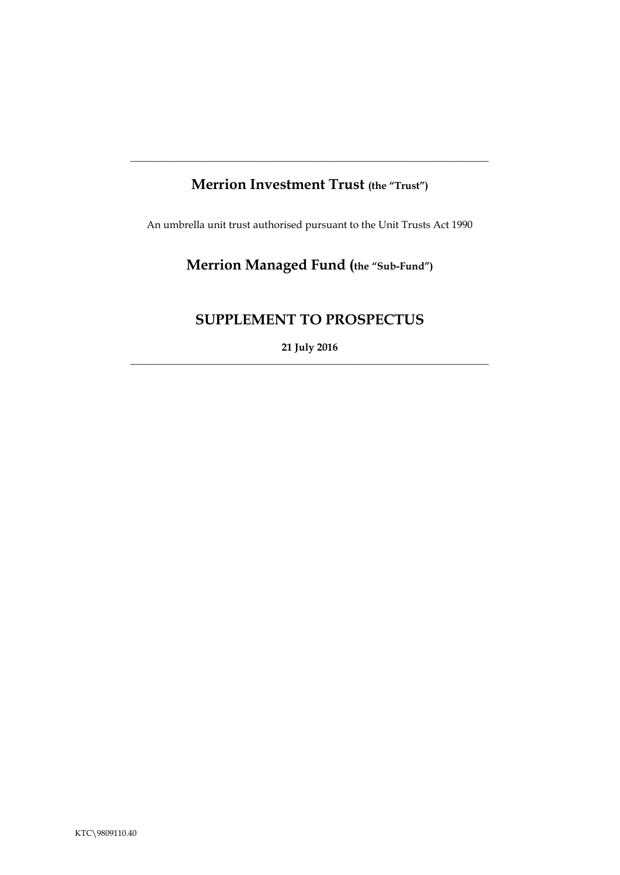## **Merrion Investment Trust (the "Trust")**

**\_\_\_\_\_\_\_\_\_\_\_\_\_\_\_\_\_\_\_\_\_\_\_\_\_\_\_\_\_\_\_\_\_\_\_\_\_\_\_\_\_\_\_\_\_\_\_\_\_\_\_\_\_\_\_\_\_\_\_\_\_\_\_\_\_\_\_\_\_**

An umbrella unit trust authorised pursuant to the Unit Trusts Act 1990

# **Merrion Managed Fund (the "Sub-Fund")**

## **SUPPLEMENT TO PROSPECTUS**

**21 July 2016** \_\_\_\_\_\_\_\_\_\_\_\_\_\_\_\_\_\_\_\_\_\_\_\_\_\_\_\_\_\_\_\_\_\_\_\_\_\_\_\_\_\_\_\_\_\_\_\_\_\_\_\_\_\_\_\_\_\_\_\_\_\_\_\_\_\_\_\_\_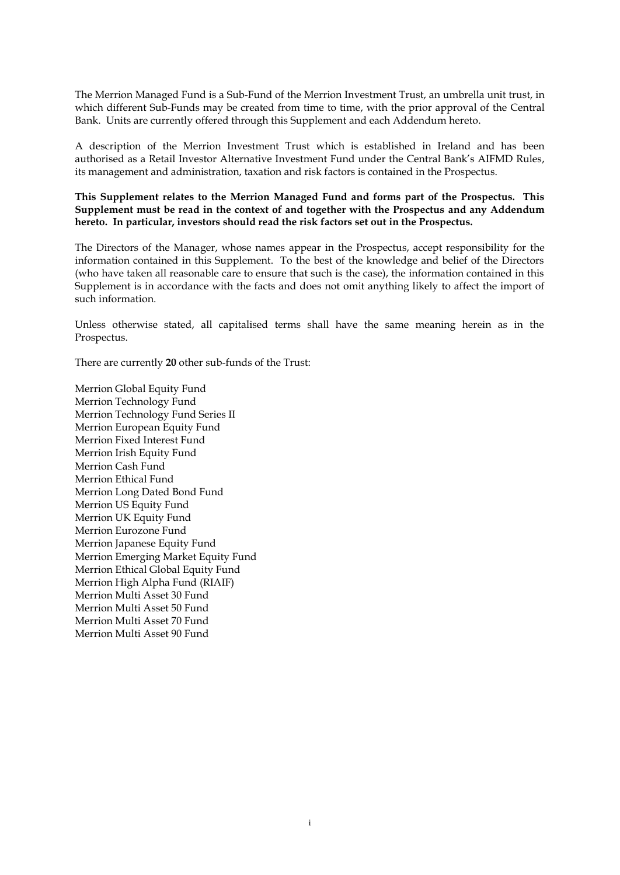The Merrion Managed Fund is a Sub-Fund of the Merrion Investment Trust, an umbrella unit trust, in which different Sub-Funds may be created from time to time, with the prior approval of the Central Bank. Units are currently offered through this Supplement and each Addendum hereto.

A description of the Merrion Investment Trust which is established in Ireland and has been authorised as a Retail Investor Alternative Investment Fund under the Central Bank's AIFMD Rules, its management and administration, taxation and risk factors is contained in the Prospectus.

**This Supplement relates to the Merrion Managed Fund and forms part of the Prospectus. This Supplement must be read in the context of and together with the Prospectus and any Addendum hereto. In particular, investors should read the risk factors set out in the Prospectus.** 

The Directors of the Manager, whose names appear in the Prospectus, accept responsibility for the information contained in this Supplement. To the best of the knowledge and belief of the Directors (who have taken all reasonable care to ensure that such is the case), the information contained in this Supplement is in accordance with the facts and does not omit anything likely to affect the import of such information.

Unless otherwise stated, all capitalised terms shall have the same meaning herein as in the Prospectus.

There are currently **20** other sub-funds of the Trust:

Merrion Global Equity Fund Merrion Technology Fund Merrion Technology Fund Series II Merrion European Equity Fund Merrion Fixed Interest Fund Merrion Irish Equity Fund Merrion Cash Fund Merrion Ethical Fund Merrion Long Dated Bond Fund Merrion US Equity Fund Merrion UK Equity Fund Merrion Eurozone Fund Merrion Japanese Equity Fund Merrion Emerging Market Equity Fund Merrion Ethical Global Equity Fund Merrion High Alpha Fund (RIAIF) Merrion Multi Asset 30 Fund Merrion Multi Asset 50 Fund Merrion Multi Asset 70 Fund Merrion Multi Asset 90 Fund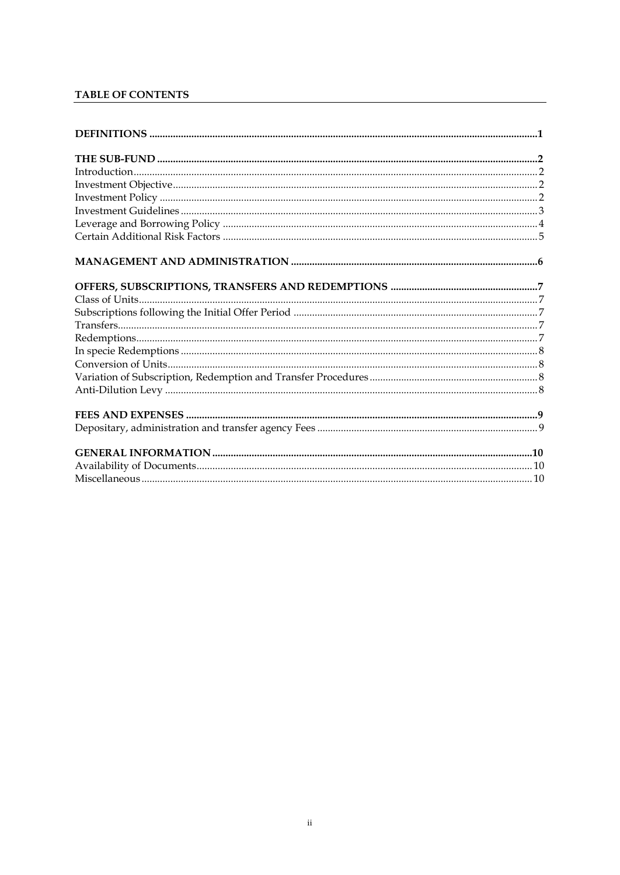## TABLE OF CONTENTS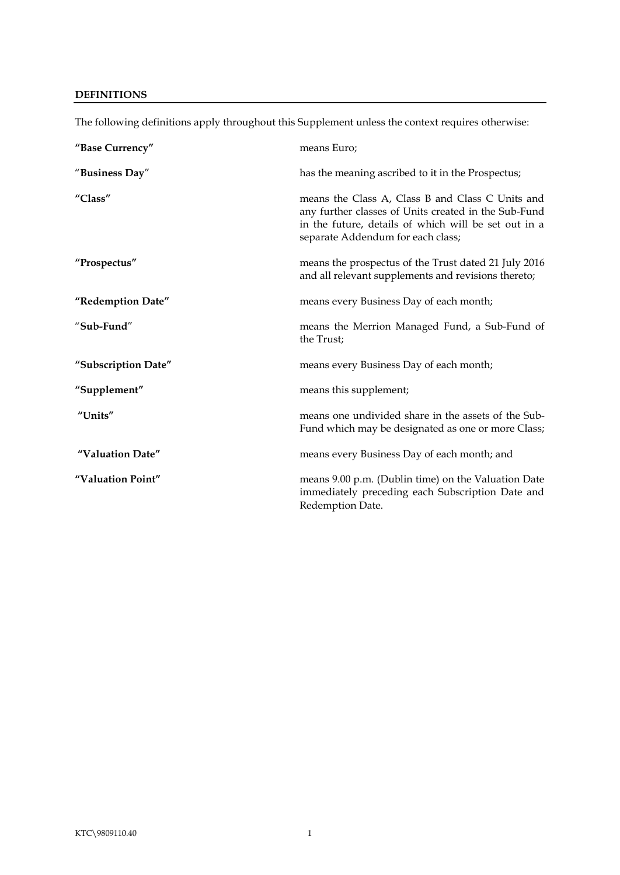## <span id="page-3-0"></span>**DEFINITIONS**

| "Base Currency"     | means Euro;                                                                                                                                                                                           |
|---------------------|-------------------------------------------------------------------------------------------------------------------------------------------------------------------------------------------------------|
| "Business Day"      | has the meaning ascribed to it in the Prospectus;                                                                                                                                                     |
| "Class"             | means the Class A, Class B and Class C Units and<br>any further classes of Units created in the Sub-Fund<br>in the future, details of which will be set out in a<br>separate Addendum for each class; |
| "Prospectus"        | means the prospectus of the Trust dated 21 July 2016<br>and all relevant supplements and revisions thereto;                                                                                           |
| "Redemption Date"   | means every Business Day of each month;                                                                                                                                                               |
| "Sub-Fund"          | means the Merrion Managed Fund, a Sub-Fund of<br>the Trust;                                                                                                                                           |
| "Subscription Date" | means every Business Day of each month;                                                                                                                                                               |
| "Supplement"        | means this supplement;                                                                                                                                                                                |
| "Units"             | means one undivided share in the assets of the Sub-<br>Fund which may be designated as one or more Class;                                                                                             |
| "Valuation Date"    | means every Business Day of each month; and                                                                                                                                                           |
| "Valuation Point"   | means 9.00 p.m. (Dublin time) on the Valuation Date<br>immediately preceding each Subscription Date and<br>Redemption Date.                                                                           |

The following definitions apply throughout this Supplement unless the context requires otherwise: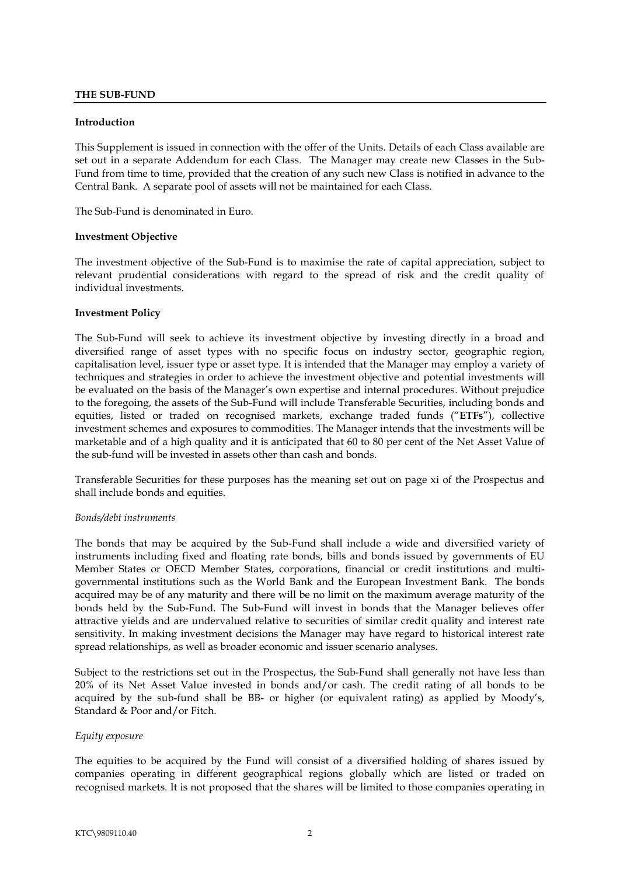#### <span id="page-4-0"></span>**THE SUB-FUND**

#### <span id="page-4-1"></span>**Introduction**

This Supplement is issued in connection with the offer of the Units. Details of each Class available are set out in a separate Addendum for each Class. The Manager may create new Classes in the Sub-Fund from time to time, provided that the creation of any such new Class is notified in advance to the Central Bank. A separate pool of assets will not be maintained for each Class.

The Sub-Fund is denominated in Euro.

#### <span id="page-4-2"></span>**Investment Objective**

The investment objective of the Sub-Fund is to maximise the rate of capital appreciation, subject to relevant prudential considerations with regard to the spread of risk and the credit quality of individual investments.

#### <span id="page-4-3"></span>**Investment Policy**

The Sub-Fund will seek to achieve its investment objective by investing directly in a broad and diversified range of asset types with no specific focus on industry sector, geographic region, capitalisation level, issuer type or asset type. It is intended that the Manager may employ a variety of techniques and strategies in order to achieve the investment objective and potential investments will be evaluated on the basis of the Manager's own expertise and internal procedures. Without prejudice to the foregoing, the assets of the Sub-Fund will include Transferable Securities, including bonds and equities, listed or traded on recognised markets, exchange traded funds ("**ETFs**"), collective investment schemes and exposures to commodities. The Manager intends that the investments will be marketable and of a high quality and it is anticipated that 60 to 80 per cent of the Net Asset Value of the sub-fund will be invested in assets other than cash and bonds.

Transferable Securities for these purposes has the meaning set out on page xi of the Prospectus and shall include bonds and equities.

#### *Bonds/debt instruments*

The bonds that may be acquired by the Sub-Fund shall include a wide and diversified variety of instruments including fixed and floating rate bonds, bills and bonds issued by governments of EU Member States or OECD Member States, corporations, financial or credit institutions and multigovernmental institutions such as the World Bank and the European Investment Bank. The bonds acquired may be of any maturity and there will be no limit on the maximum average maturity of the bonds held by the Sub-Fund. The Sub-Fund will invest in bonds that the Manager believes offer attractive yields and are undervalued relative to securities of similar credit quality and interest rate sensitivity. In making investment decisions the Manager may have regard to historical interest rate spread relationships, as well as broader economic and issuer scenario analyses.

Subject to the restrictions set out in the Prospectus, the Sub-Fund shall generally not have less than 20% of its Net Asset Value invested in bonds and/or cash. The credit rating of all bonds to be acquired by the sub-fund shall be BB- or higher (or equivalent rating) as applied by Moody's, Standard & Poor and/or Fitch.

#### *Equity exposure*

The equities to be acquired by the Fund will consist of a diversified holding of shares issued by companies operating in different geographical regions globally which are listed or traded on recognised markets. It is not proposed that the shares will be limited to those companies operating in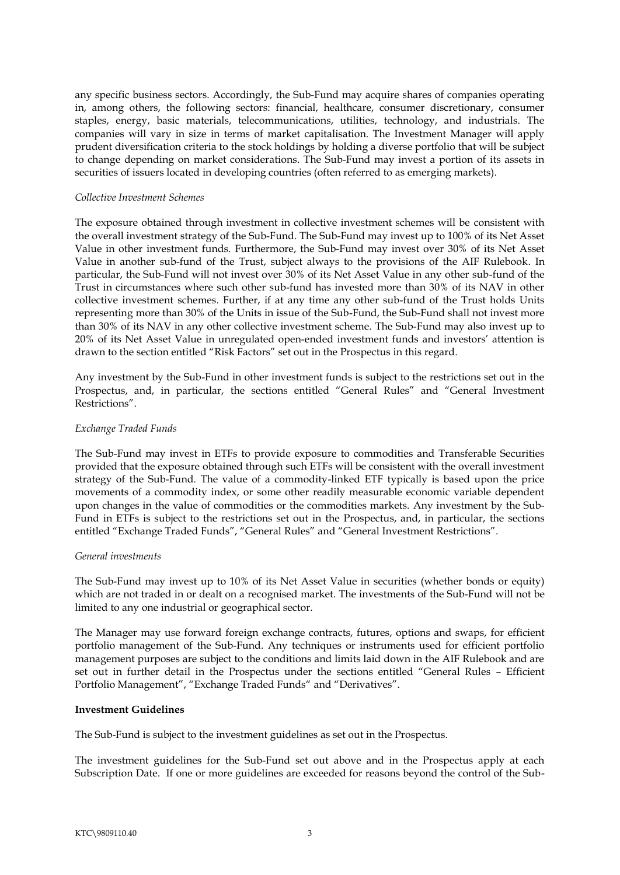any specific business sectors. Accordingly, the Sub-Fund may acquire shares of companies operating in, among others, the following sectors: financial, healthcare, consumer discretionary, consumer staples, energy, basic materials, telecommunications, utilities, technology, and industrials. The companies will vary in size in terms of market capitalisation. The Investment Manager will apply prudent diversification criteria to the stock holdings by holding a diverse portfolio that will be subject to change depending on market considerations. The Sub-Fund may invest a portion of its assets in securities of issuers located in developing countries (often referred to as emerging markets).

#### *Collective Investment Schemes*

The exposure obtained through investment in collective investment schemes will be consistent with the overall investment strategy of the Sub-Fund. The Sub-Fund may invest up to 100% of its Net Asset Value in other investment funds. Furthermore, the Sub-Fund may invest over 30% of its Net Asset Value in another sub-fund of the Trust, subject always to the provisions of the AIF Rulebook. In particular, the Sub-Fund will not invest over 30% of its Net Asset Value in any other sub-fund of the Trust in circumstances where such other sub-fund has invested more than 30% of its NAV in other collective investment schemes. Further, if at any time any other sub-fund of the Trust holds Units representing more than 30% of the Units in issue of the Sub-Fund, the Sub-Fund shall not invest more than 30% of its NAV in any other collective investment scheme. The Sub-Fund may also invest up to 20% of its Net Asset Value in unregulated open-ended investment funds and investors' attention is drawn to the section entitled "Risk Factors" set out in the Prospectus in this regard.

Any investment by the Sub-Fund in other investment funds is subject to the restrictions set out in the Prospectus, and, in particular, the sections entitled "General Rules" and "General Investment Restrictions".

#### *Exchange Traded Funds*

The Sub-Fund may invest in ETFs to provide exposure to commodities and Transferable Securities provided that the exposure obtained through such ETFs will be consistent with the overall investment strategy of the Sub-Fund. The value of a commodity-linked ETF typically is based upon the price movements of a commodity index, or some other readily measurable economic variable dependent upon changes in the value of commodities or the commodities markets. Any investment by the Sub-Fund in ETFs is subject to the restrictions set out in the Prospectus, and, in particular, the sections entitled "Exchange Traded Funds", "General Rules" and "General Investment Restrictions".

#### *General investments*

The Sub-Fund may invest up to 10% of its Net Asset Value in securities (whether bonds or equity) which are not traded in or dealt on a recognised market. The investments of the Sub-Fund will not be limited to any one industrial or geographical sector.

The Manager may use forward foreign exchange contracts, futures, options and swaps, for efficient portfolio management of the Sub-Fund. Any techniques or instruments used for efficient portfolio management purposes are subject to the conditions and limits laid down in the AIF Rulebook and are set out in further detail in the Prospectus under the sections entitled "General Rules – Efficient Portfolio Management", "Exchange Traded Funds" and "Derivatives".

### <span id="page-5-0"></span>**Investment Guidelines**

The Sub-Fund is subject to the investment guidelines as set out in the Prospectus.

The investment guidelines for the Sub-Fund set out above and in the Prospectus apply at each Subscription Date. If one or more guidelines are exceeded for reasons beyond the control of the Sub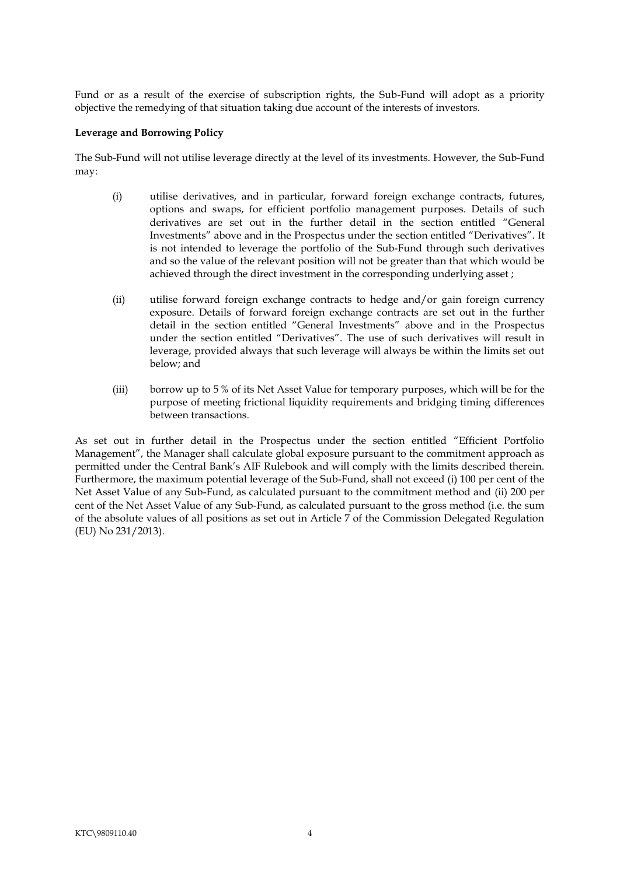Fund or as a result of the exercise of subscription rights, the Sub-Fund will adopt as a priority objective the remedying of that situation taking due account of the interests of investors.

#### **Leverage and Borrowing Policy**

The Sub-Fund will not utilise leverage directly at the level of its investments. However, the Sub-Fund may:

- <span id="page-6-0"></span>(i) utilise derivatives, and in particular, forward foreign exchange contracts, futures, options and swaps, for efficient portfolio management purposes. Details of such derivatives are set out in the further detail in the section entitled "General Investments" above and in the Prospectus under the section entitled "Derivatives". It is not intended to leverage the portfolio of the Sub-Fund through such derivatives and so the value of the relevant position will not be greater than that which would be achieved through the direct investment in the corresponding underlying asset ;
- (ii) utilise forward foreign exchange contracts to hedge and/or gain foreign currency exposure. Details of forward foreign exchange contracts are set out in the further detail in the section entitled "General Investments" above and in the Prospectus under the section entitled "Derivatives". The use of such derivatives will result in leverage, provided always that such leverage will always be within the limits set out below; and
- (iii) borrow up to 5 % of its Net Asset Value for temporary purposes, which will be for the purpose of meeting frictional liquidity requirements and bridging timing differences between transactions.

As set out in further detail in the Prospectus under the section entitled "Efficient Portfolio Management", the Manager shall calculate global exposure pursuant to the commitment approach as permitted under the Central Bank's AIF Rulebook and will comply with the limits described therein. Furthermore, the maximum potential leverage of the Sub-Fund, shall not exceed (i) 100 per cent of the Net Asset Value of any Sub-Fund, as calculated pursuant to the commitment method and (ii) 200 per cent of the Net Asset Value of any Sub-Fund, as calculated pursuant to the gross method (i.e. the sum of the absolute values of all positions as set out in Article 7 of the Commission Delegated Regulation (EU) No 231/2013).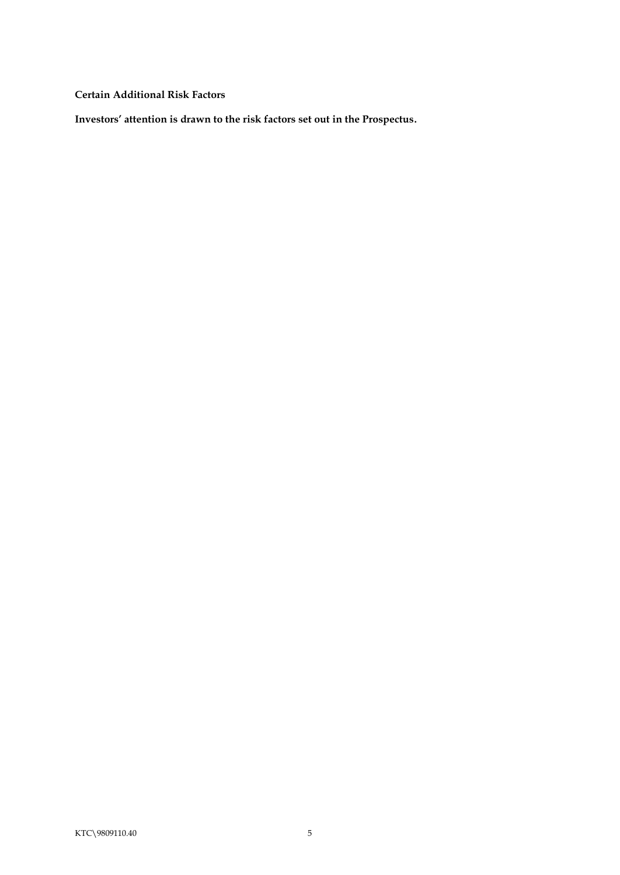<span id="page-7-0"></span>**Certain Additional Risk Factors**

**Investors' attention is drawn to the risk factors set out in the Prospectus.**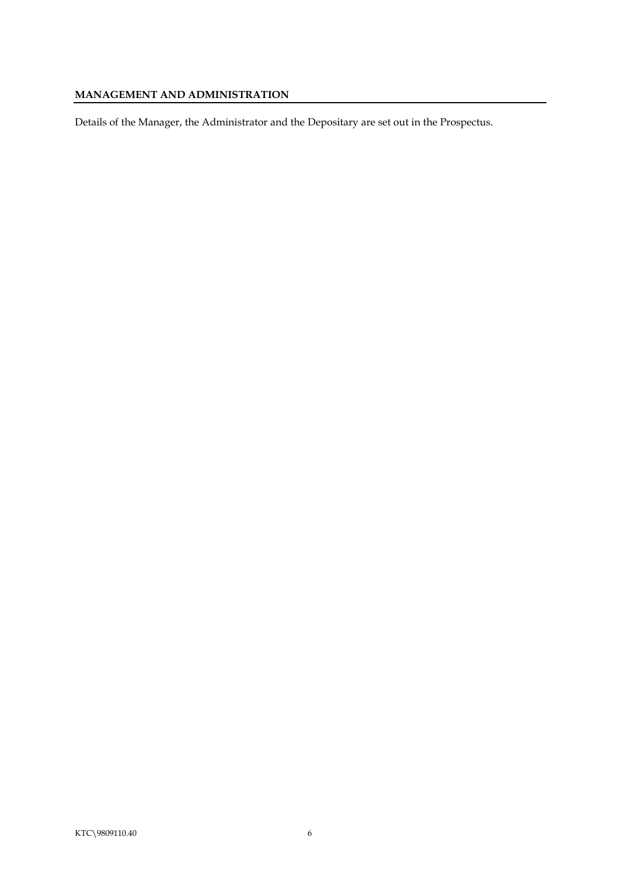## <span id="page-8-0"></span>**MANAGEMENT AND ADMINISTRATION**

Details of the Manager, the Administrator and the Depositary are set out in the Prospectus.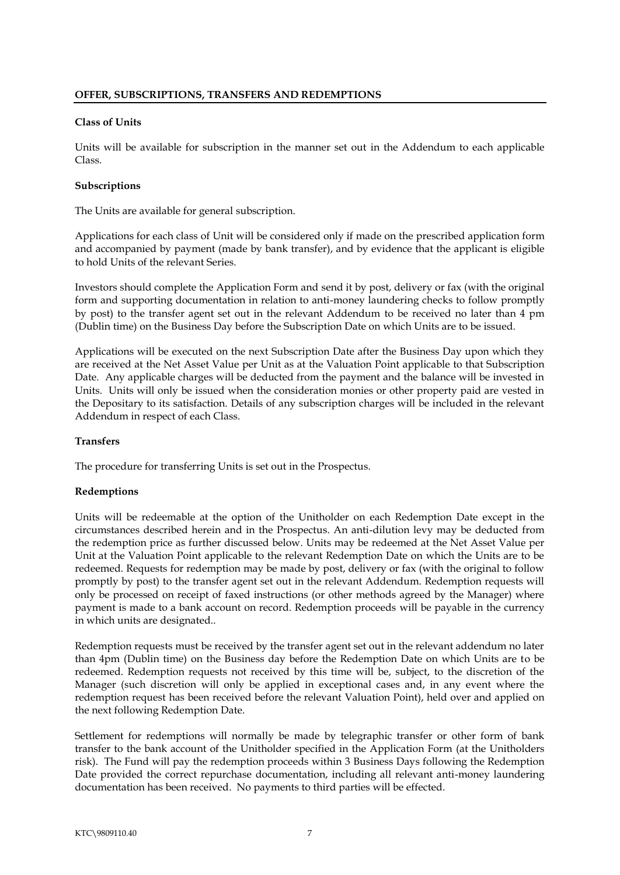#### <span id="page-9-1"></span><span id="page-9-0"></span>**Class of Units**

Units will be available for subscription in the manner set out in the Addendum to each applicable Class.

#### <span id="page-9-2"></span>**Subscriptions**

The Units are available for general subscription.

Applications for each class of Unit will be considered only if made on the prescribed application form and accompanied by payment (made by bank transfer), and by evidence that the applicant is eligible to hold Units of the relevant Series.

Investors should complete the Application Form and send it by post, delivery or fax (with the original form and supporting documentation in relation to anti-money laundering checks to follow promptly by post) to the transfer agent set out in the relevant Addendum to be received no later than 4 pm (Dublin time) on the Business Day before the Subscription Date on which Units are to be issued.

Applications will be executed on the next Subscription Date after the Business Day upon which they are received at the Net Asset Value per Unit as at the Valuation Point applicable to that Subscription Date. Any applicable charges will be deducted from the payment and the balance will be invested in Units. Units will only be issued when the consideration monies or other property paid are vested in the Depositary to its satisfaction. Details of any subscription charges will be included in the relevant Addendum in respect of each Class.

#### <span id="page-9-3"></span>**Transfers**

The procedure for transferring Units is set out in the Prospectus.

### <span id="page-9-4"></span>**Redemptions**

Units will be redeemable at the option of the Unitholder on each Redemption Date except in the circumstances described herein and in the Prospectus. An anti-dilution levy may be deducted from the redemption price as further discussed below. Units may be redeemed at the Net Asset Value per Unit at the Valuation Point applicable to the relevant Redemption Date on which the Units are to be redeemed. Requests for redemption may be made by post, delivery or fax (with the original to follow promptly by post) to the transfer agent set out in the relevant Addendum. Redemption requests will only be processed on receipt of faxed instructions (or other methods agreed by the Manager) where payment is made to a bank account on record. Redemption proceeds will be payable in the currency in which units are designated..

Redemption requests must be received by the transfer agent set out in the relevant addendum no later than 4pm (Dublin time) on the Business day before the Redemption Date on which Units are to be redeemed. Redemption requests not received by this time will be, subject, to the discretion of the Manager (such discretion will only be applied in exceptional cases and, in any event where the redemption request has been received before the relevant Valuation Point), held over and applied on the next following Redemption Date.

Settlement for redemptions will normally be made by telegraphic transfer or other form of bank transfer to the bank account of the Unitholder specified in the Application Form (at the Unitholders risk). The Fund will pay the redemption proceeds within 3 Business Days following the Redemption Date provided the correct repurchase documentation, including all relevant anti-money laundering documentation has been received. No payments to third parties will be effected.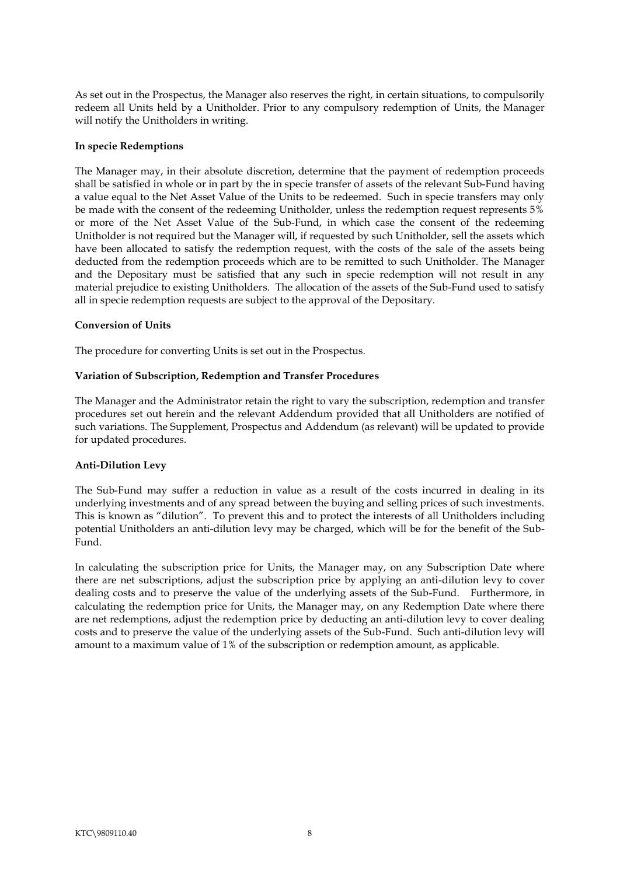As set out in the Prospectus, the Manager also reserves the right, in certain situations, to compulsorily redeem all Units held by a Unitholder. Prior to any compulsory redemption of Units, the Manager will notify the Unitholders in writing.

#### <span id="page-10-0"></span>**In specie Redemptions**

The Manager may, in their absolute discretion, determine that the payment of redemption proceeds shall be satisfied in whole or in part by the in specie transfer of assets of the relevant Sub-Fund having a value equal to the Net Asset Value of the Units to be redeemed. Such in specie transfers may only be made with the consent of the redeeming Unitholder, unless the redemption request represents 5% or more of the Net Asset Value of the Sub-Fund, in which case the consent of the redeeming Unitholder is not required but the Manager will, if requested by such Unitholder, sell the assets which have been allocated to satisfy the redemption request, with the costs of the sale of the assets being deducted from the redemption proceeds which are to be remitted to such Unitholder. The Manager and the Depositary must be satisfied that any such in specie redemption will not result in any material prejudice to existing Unitholders. The allocation of the assets of the Sub-Fund used to satisfy all in specie redemption requests are subject to the approval of the Depositary.

#### <span id="page-10-1"></span>**Conversion of Units**

The procedure for converting Units is set out in the Prospectus.

#### <span id="page-10-2"></span>**Variation of Subscription, Redemption and Transfer Procedures**

The Manager and the Administrator retain the right to vary the subscription, redemption and transfer procedures set out herein and the relevant Addendum provided that all Unitholders are notified of such variations. The Supplement, Prospectus and Addendum (as relevant) will be updated to provide for updated procedures.

#### <span id="page-10-3"></span>**Anti-Dilution Levy**

The Sub-Fund may suffer a reduction in value as a result of the costs incurred in dealing in its underlying investments and of any spread between the buying and selling prices of such investments. This is known as "dilution". To prevent this and to protect the interests of all Unitholders including potential Unitholders an anti-dilution levy may be charged, which will be for the benefit of the Sub-Fund.

In calculating the subscription price for Units, the Manager may, on any Subscription Date where there are net subscriptions, adjust the subscription price by applying an anti-dilution levy to cover dealing costs and to preserve the value of the underlying assets of the Sub-Fund. Furthermore, in calculating the redemption price for Units, the Manager may, on any Redemption Date where there are net redemptions, adjust the redemption price by deducting an anti-dilution levy to cover dealing costs and to preserve the value of the underlying assets of the Sub-Fund. Such anti-dilution levy will amount to a maximum value of 1% of the subscription or redemption amount, as applicable.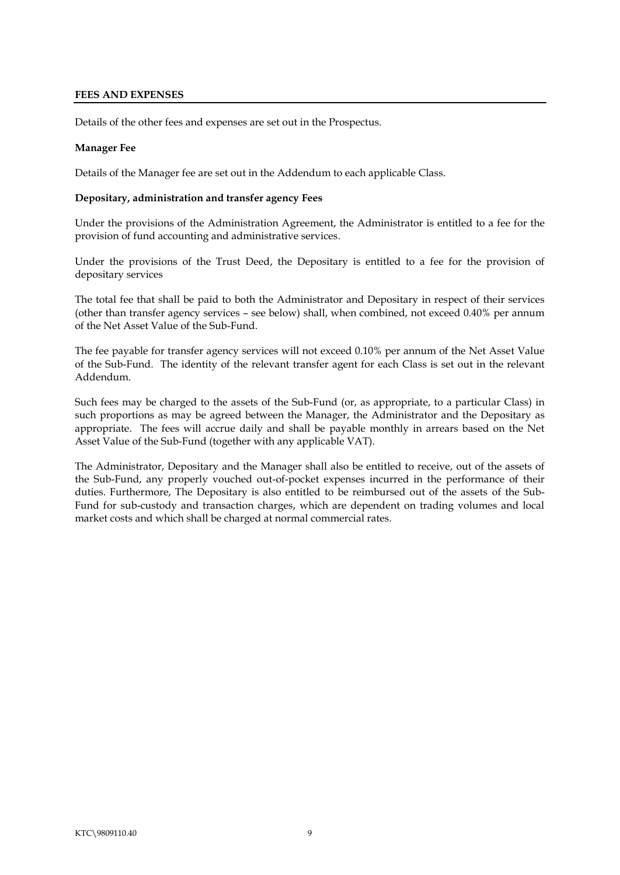#### <span id="page-11-0"></span>**FEES AND EXPENSES**

Details of the other fees and expenses are set out in the Prospectus.

#### **Manager Fee**

Details of the Manager fee are set out in the Addendum to each applicable Class.

#### <span id="page-11-1"></span>**Depositary, administration and transfer agency Fees**

Under the provisions of the Administration Agreement, the Administrator is entitled to a fee for the provision of fund accounting and administrative services.

Under the provisions of the Trust Deed, the Depositary is entitled to a fee for the provision of depositary services

The total fee that shall be paid to both the Administrator and Depositary in respect of their services (other than transfer agency services – see below) shall, when combined, not exceed 0.40% per annum of the Net Asset Value of the Sub-Fund.

The fee payable for transfer agency services will not exceed 0.10% per annum of the Net Asset Value of the Sub-Fund. The identity of the relevant transfer agent for each Class is set out in the relevant Addendum.

Such fees may be charged to the assets of the Sub-Fund (or, as appropriate, to a particular Class) in such proportions as may be agreed between the Manager, the Administrator and the Depositary as appropriate. The fees will accrue daily and shall be payable monthly in arrears based on the Net Asset Value of the Sub-Fund (together with any applicable VAT).

The Administrator, Depositary and the Manager shall also be entitled to receive, out of the assets of the Sub-Fund, any properly vouched out-of-pocket expenses incurred in the performance of their duties. Furthermore, The Depositary is also entitled to be reimbursed out of the assets of the Sub-Fund for sub-custody and transaction charges, which are dependent on trading volumes and local market costs and which shall be charged at normal commercial rates.